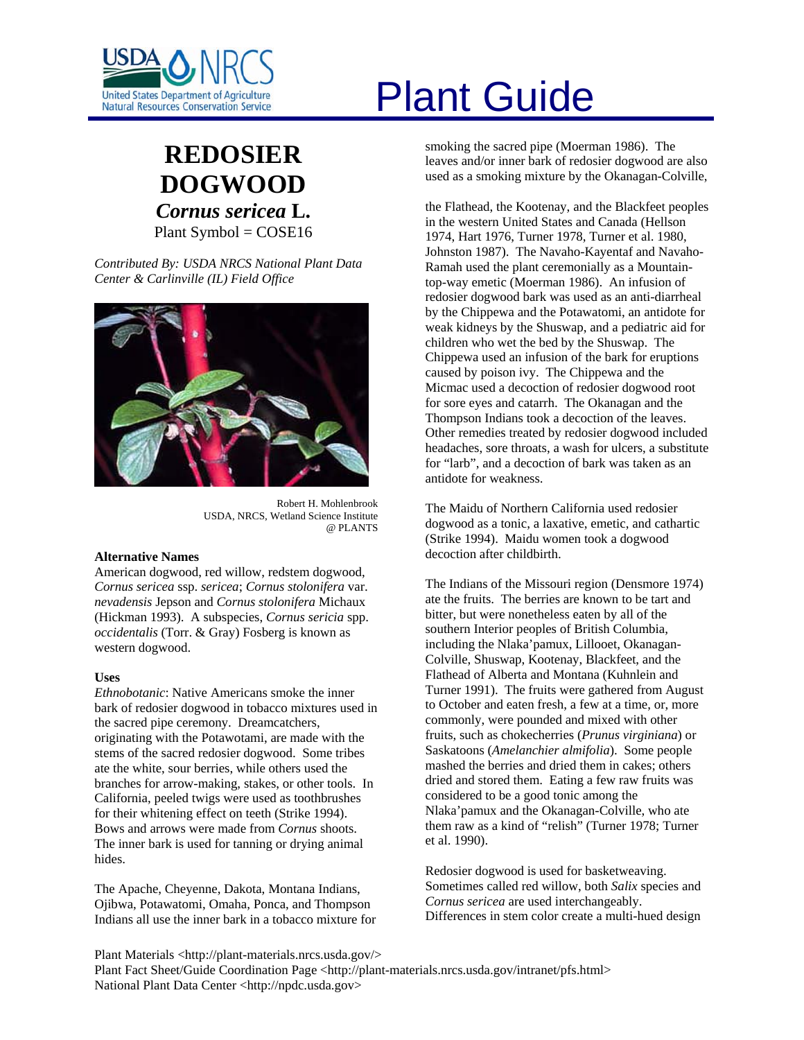

# **REDOSIER DOGWOOD** *Cornus sericea* **L.** Plant Symbol = COSE16

*Contributed By: USDA NRCS National Plant Data Center & Carlinville (IL) Field Office* 



Robert H. Mohlenbrook USDA, NRCS, Wetland Science Institute @ PLANTS

#### **Alternative Names**

American dogwood, red willow, redstem dogwood, *Cornus sericea* ssp. *sericea*; *Cornus stolonifera* var. *nevadensis* Jepson and *Cornus stolonifera* Michaux (Hickman 1993). A subspecies, *Cornus sericia* spp. *occidentalis* (Torr. & Gray) Fosberg is known as western dogwood.

# **Uses**

*Ethnobotanic*: Native Americans smoke the inner bark of redosier dogwood in tobacco mixtures used in the sacred pipe ceremony. Dreamcatchers, originating with the Potawotami, are made with the stems of the sacred redosier dogwood. Some tribes ate the white, sour berries, while others used the branches for arrow-making, stakes, or other tools. In California, peeled twigs were used as toothbrushes for their whitening effect on teeth (Strike 1994). Bows and arrows were made from *Cornus* shoots. The inner bark is used for tanning or drying animal hides.

The Apache, Cheyenne, Dakota, Montana Indians, Ojibwa, Potawatomi, Omaha, Ponca, and Thompson Indians all use the inner bark in a tobacco mixture for

# United States Department of Agriculture<br>Natural Resources Conservation Service

smoking the sacred pipe (Moerman 1986). The leaves and/or inner bark of redosier dogwood are also used as a smoking mixture by the Okanagan-Colville,

the Flathead, the Kootenay, and the Blackfeet peoples in the western United States and Canada (Hellson 1974, Hart 1976, Turner 1978, Turner et al. 1980, Johnston 1987). The Navaho-Kayentaf and Navaho-Ramah used the plant ceremonially as a Mountaintop-way emetic (Moerman 1986). An infusion of redosier dogwood bark was used as an anti-diarrheal by the Chippewa and the Potawatomi, an antidote for weak kidneys by the Shuswap, and a pediatric aid for children who wet the bed by the Shuswap. The Chippewa used an infusion of the bark for eruptions caused by poison ivy. The Chippewa and the Micmac used a decoction of redosier dogwood root for sore eyes and catarrh. The Okanagan and the Thompson Indians took a decoction of the leaves. Other remedies treated by redosier dogwood included headaches, sore throats, a wash for ulcers, a substitute for "larb", and a decoction of bark was taken as an antidote for weakness.

The Maidu of Northern California used redosier dogwood as a tonic, a laxative, emetic, and cathartic (Strike 1994). Maidu women took a dogwood decoction after childbirth.

The Indians of the Missouri region (Densmore 1974) ate the fruits. The berries are known to be tart and bitter, but were nonetheless eaten by all of the southern Interior peoples of British Columbia, including the Nlaka'pamux, Lillooet, Okanagan-Colville, Shuswap, Kootenay, Blackfeet, and the Flathead of Alberta and Montana (Kuhnlein and Turner 1991). The fruits were gathered from August to October and eaten fresh, a few at a time, or, more commonly, were pounded and mixed with other fruits, such as chokecherries (*Prunus virginiana*) or Saskatoons (*Amelanchier almifolia*). Some people mashed the berries and dried them in cakes; others dried and stored them. Eating a few raw fruits was considered to be a good tonic among the Nlaka'pamux and the Okanagan-Colville, who ate them raw as a kind of "relish" (Turner 1978; Turner et al. 1990).

Redosier dogwood is used for basketweaving. Sometimes called red willow, both *Salix* species and *Cornus sericea* are used interchangeably. Differences in stem color create a multi-hued design

Plant Materials <http://plant-materials.nrcs.usda.gov/> Plant Fact Sheet/Guide Coordination Page <http://plant-materials.nrcs.usda.gov/intranet/pfs.html> National Plant Data Center <http://npdc.usda.gov>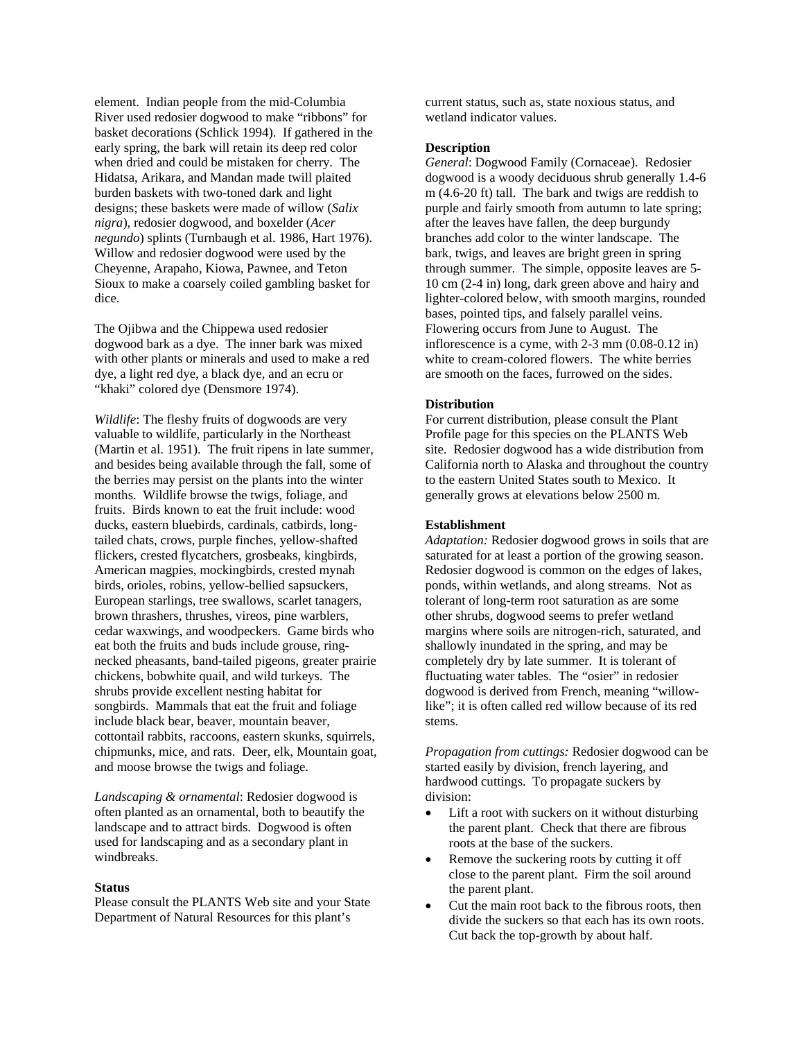element. Indian people from the mid-Columbia River used redosier dogwood to make "ribbons" for basket decorations (Schlick 1994). If gathered in the early spring, the bark will retain its deep red color when dried and could be mistaken for cherry. The Hidatsa, Arikara, and Mandan made twill plaited burden baskets with two-toned dark and light designs; these baskets were made of willow (*Salix nigra*), redosier dogwood, and boxelder (*Acer negundo*) splints (Turnbaugh et al. 1986, Hart 1976). Willow and redosier dogwood were used by the Cheyenne, Arapaho, Kiowa, Pawnee, and Teton Sioux to make a coarsely coiled gambling basket for dice.

The Ojibwa and the Chippewa used redosier dogwood bark as a dye. The inner bark was mixed with other plants or minerals and used to make a red dye, a light red dye, a black dye, and an ecru or "khaki" colored dye (Densmore 1974).

*Wildlife*: The fleshy fruits of dogwoods are very valuable to wildlife, particularly in the Northeast (Martin et al. 1951). The fruit ripens in late summer, and besides being available through the fall, some of the berries may persist on the plants into the winter months. Wildlife browse the twigs, foliage, and fruits. Birds known to eat the fruit include: wood ducks, eastern bluebirds, cardinals, catbirds, longtailed chats, crows, purple finches, yellow-shafted flickers, crested flycatchers, grosbeaks, kingbirds, American magpies, mockingbirds, crested mynah birds, orioles, robins, yellow-bellied sapsuckers, European starlings, tree swallows, scarlet tanagers, brown thrashers, thrushes, vireos, pine warblers, cedar waxwings, and woodpeckers. Game birds who eat both the fruits and buds include grouse, ringnecked pheasants, band-tailed pigeons, greater prairie chickens, bobwhite quail, and wild turkeys. The shrubs provide excellent nesting habitat for songbirds. Mammals that eat the fruit and foliage include black bear, beaver, mountain beaver, cottontail rabbits, raccoons, eastern skunks, squirrels, chipmunks, mice, and rats. Deer, elk, Mountain goat, and moose browse the twigs and foliage.

*Landscaping & ornamental*: Redosier dogwood is often planted as an ornamental, both to beautify the landscape and to attract birds. Dogwood is often used for landscaping and as a secondary plant in windbreaks.

# **Status**

Please consult the PLANTS Web site and your State Department of Natural Resources for this plant's

current status, such as, state noxious status, and wetland indicator values.

# **Description**

*General*: Dogwood Family (Cornaceae). Redosier dogwood is a woody deciduous shrub generally 1.4-6 m (4.6-20 ft) tall. The bark and twigs are reddish to purple and fairly smooth from autumn to late spring; after the leaves have fallen, the deep burgundy branches add color to the winter landscape. The bark, twigs, and leaves are bright green in spring through summer. The simple, opposite leaves are 5- 10 cm (2-4 in) long, dark green above and hairy and lighter-colored below, with smooth margins, rounded bases, pointed tips, and falsely parallel veins. Flowering occurs from June to August. The inflorescence is a cyme, with 2-3 mm (0.08-0.12 in) white to cream-colored flowers. The white berries are smooth on the faces, furrowed on the sides.

# **Distribution**

For current distribution, please consult the Plant Profile page for this species on the PLANTS Web site. Redosier dogwood has a wide distribution from California north to Alaska and throughout the country to the eastern United States south to Mexico. It generally grows at elevations below 2500 m.

#### **Establishment**

*Adaptation:* Redosier dogwood grows in soils that are saturated for at least a portion of the growing season. Redosier dogwood is common on the edges of lakes, ponds, within wetlands, and along streams. Not as tolerant of long-term root saturation as are some other shrubs, dogwood seems to prefer wetland margins where soils are nitrogen-rich, saturated, and shallowly inundated in the spring, and may be completely dry by late summer. It is tolerant of fluctuating water tables. The "osier" in redosier dogwood is derived from French, meaning "willowlike"; it is often called red willow because of its red stems.

*Propagation from cuttings:* Redosier dogwood can be started easily by division, french layering, and hardwood cuttings. To propagate suckers by division:

- Lift a root with suckers on it without disturbing the parent plant. Check that there are fibrous roots at the base of the suckers.
- Remove the suckering roots by cutting it off close to the parent plant. Firm the soil around the parent plant.
- Cut the main root back to the fibrous roots, then divide the suckers so that each has its own roots. Cut back the top-growth by about half.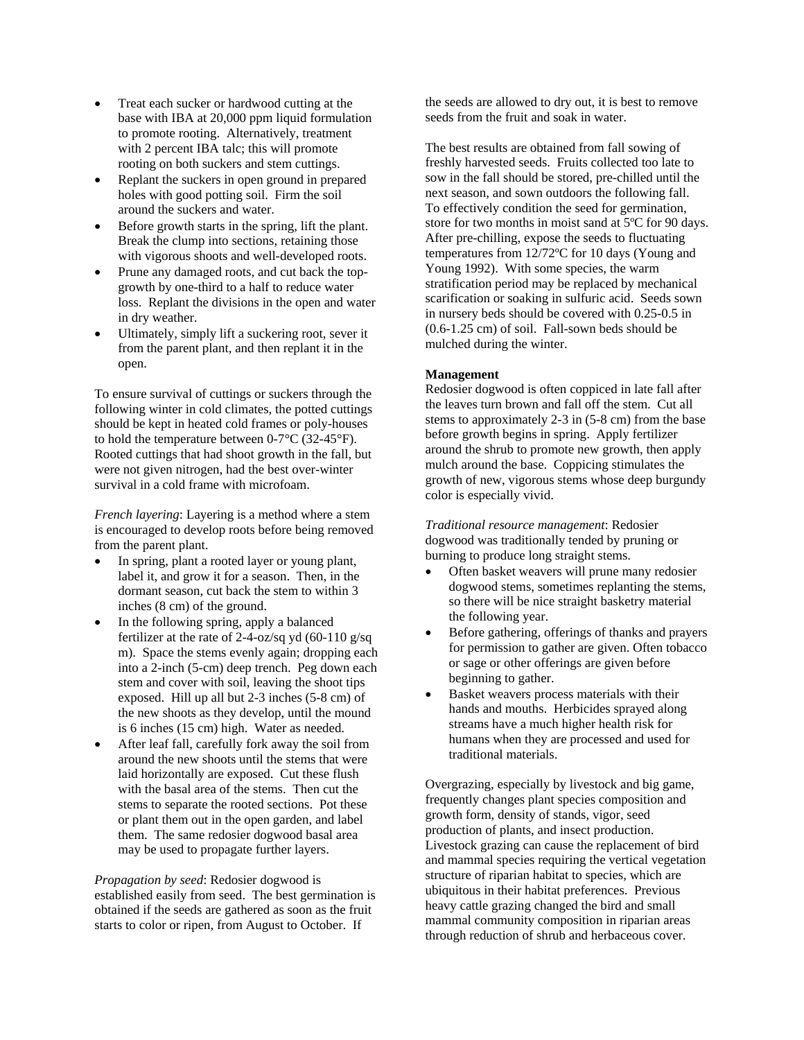- Treat each sucker or hardwood cutting at the base with IBA at 20,000 ppm liquid formulation to promote rooting. Alternatively, treatment with 2 percent IBA talc; this will promote rooting on both suckers and stem cuttings.
- Replant the suckers in open ground in prepared holes with good potting soil. Firm the soil around the suckers and water.
- Before growth starts in the spring, lift the plant. Break the clump into sections, retaining those with vigorous shoots and well-developed roots.
- Prune any damaged roots, and cut back the topgrowth by one-third to a half to reduce water loss. Replant the divisions in the open and water in dry weather.
- Ultimately, simply lift a suckering root, sever it from the parent plant, and then replant it in the open.

To ensure survival of cuttings or suckers through the following winter in cold climates, the potted cuttings should be kept in heated cold frames or poly-houses to hold the temperature between 0-7°C (32-45°F). Rooted cuttings that had shoot growth in the fall, but were not given nitrogen, had the best over-winter survival in a cold frame with microfoam.

*French layering*: Layering is a method where a stem is encouraged to develop roots before being removed from the parent plant.

- In spring, plant a rooted layer or young plant, label it, and grow it for a season. Then, in the dormant season, cut back the stem to within 3 inches (8 cm) of the ground.
- In the following spring, apply a balanced fertilizer at the rate of 2-4-oz/sq yd  $(60-110 \text{ g/sq})$ m). Space the stems evenly again; dropping each into a 2-inch (5-cm) deep trench. Peg down each stem and cover with soil, leaving the shoot tips exposed. Hill up all but 2-3 inches (5-8 cm) of the new shoots as they develop, until the mound is 6 inches (15 cm) high. Water as needed.
- After leaf fall, carefully fork away the soil from around the new shoots until the stems that were laid horizontally are exposed. Cut these flush with the basal area of the stems. Then cut the stems to separate the rooted sections. Pot these or plant them out in the open garden, and label them. The same redosier dogwood basal area may be used to propagate further layers.

*Propagation by seed*: Redosier dogwood is established easily from seed. The best germination is obtained if the seeds are gathered as soon as the fruit starts to color or ripen, from August to October. If

the seeds are allowed to dry out, it is best to remove seeds from the fruit and soak in water.

The best results are obtained from fall sowing of freshly harvested seeds. Fruits collected too late to sow in the fall should be stored, pre-chilled until the next season, and sown outdoors the following fall. To effectively condition the seed for germination, store for two months in moist sand at 5ºC for 90 days. After pre-chilling, expose the seeds to fluctuating temperatures from 12/72ºC for 10 days (Young and Young 1992). With some species, the warm stratification period may be replaced by mechanical scarification or soaking in sulfuric acid. Seeds sown in nursery beds should be covered with 0.25-0.5 in (0.6-1.25 cm) of soil. Fall-sown beds should be mulched during the winter.

# **Management**

Redosier dogwood is often coppiced in late fall after the leaves turn brown and fall off the stem. Cut all stems to approximately 2-3 in (5-8 cm) from the base before growth begins in spring. Apply fertilizer around the shrub to promote new growth, then apply mulch around the base. Coppicing stimulates the growth of new, vigorous stems whose deep burgundy color is especially vivid.

*Traditional resource management*: Redosier dogwood was traditionally tended by pruning or burning to produce long straight stems.

- Often basket weavers will prune many redosier dogwood stems, sometimes replanting the stems, so there will be nice straight basketry material the following year.
- Before gathering, offerings of thanks and prayers for permission to gather are given. Often tobacco or sage or other offerings are given before beginning to gather.
- Basket weavers process materials with their hands and mouths. Herbicides sprayed along streams have a much higher health risk for humans when they are processed and used for traditional materials.

Overgrazing, especially by livestock and big game, frequently changes plant species composition and growth form, density of stands, vigor, seed production of plants, and insect production. Livestock grazing can cause the replacement of bird and mammal species requiring the vertical vegetation structure of riparian habitat to species, which are ubiquitous in their habitat preferences. Previous heavy cattle grazing changed the bird and small mammal community composition in riparian areas through reduction of shrub and herbaceous cover.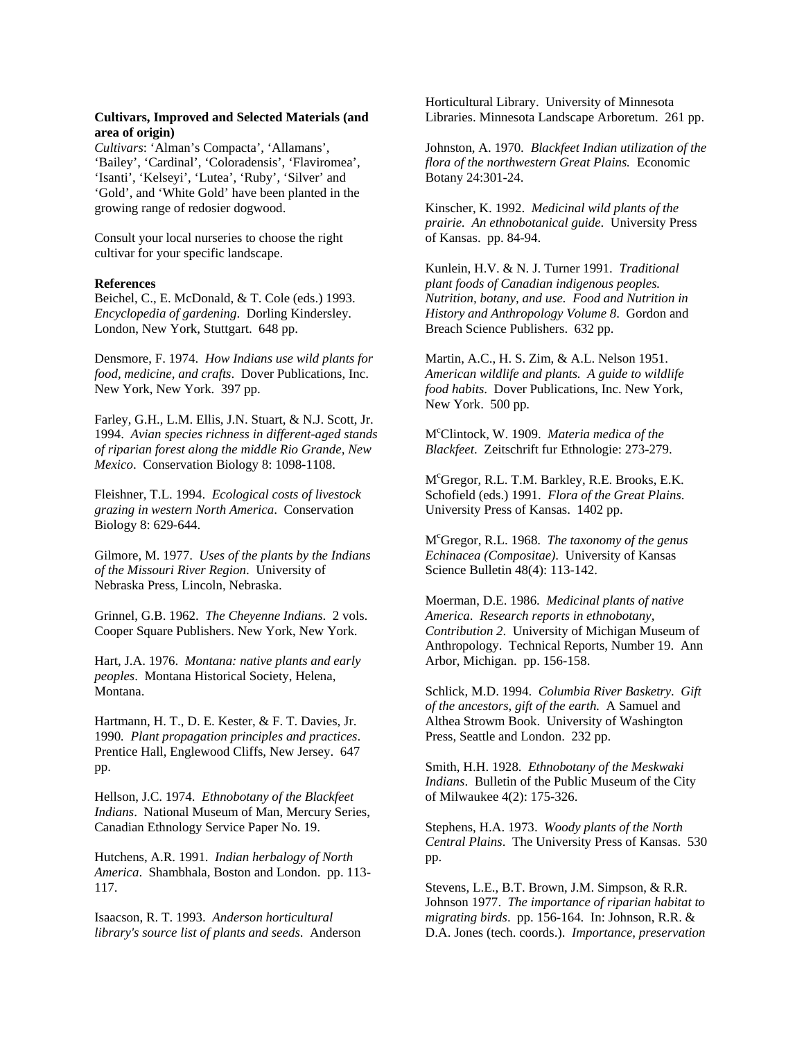# **Cultivars, Improved and Selected Materials (and area of origin)**

*Cultivars*: 'Alman's Compacta', 'Allamans', 'Bailey', 'Cardinal', 'Coloradensis', 'Flaviromea', 'Isanti', 'Kelseyi', 'Lutea', 'Ruby', 'Silver' and 'Gold', and 'White Gold' have been planted in the growing range of redosier dogwood.

Consult your local nurseries to choose the right cultivar for your specific landscape.

## **References**

Beichel, C., E. McDonald, & T. Cole (eds.) 1993. *Encyclopedia of gardening*. Dorling Kindersley. London, New York, Stuttgart. 648 pp.

Densmore, F. 1974. *How Indians use wild plants for food, medicine, and crafts*. Dover Publications, Inc. New York, New York. 397 pp.

Farley, G.H., L.M. Ellis, J.N. Stuart, & N.J. Scott, Jr. 1994. *Avian species richness in different-aged stands of riparian forest along the middle Rio Grande, New Mexico*. Conservation Biology 8: 1098-1108.

Fleishner, T.L. 1994. *Ecological costs of livestock grazing in western North America*. Conservation Biology 8: 629-644.

Gilmore, M. 1977. *Uses of the plants by the Indians of the Missouri River Region*. University of Nebraska Press, Lincoln, Nebraska.

Grinnel, G.B. 1962. *The Cheyenne Indians*. 2 vols. Cooper Square Publishers. New York, New York.

Hart, J.A. 1976. *Montana: native plants and early peoples*. Montana Historical Society, Helena, Montana.

Hartmann, H. T., D. E. Kester, & F. T. Davies, Jr. 1990*. Plant propagation principles and practices*. Prentice Hall, Englewood Cliffs, New Jersey. 647 pp.

Hellson, J.C. 1974. *Ethnobotany of the Blackfeet Indians*. National Museum of Man, Mercury Series, Canadian Ethnology Service Paper No. 19.

Hutchens, A.R. 1991. *Indian herbalogy of North America*. Shambhala, Boston and London. pp. 113- 117.

Isaacson, R. T. 1993. *Anderson horticultural library's source list of plants and seeds*. Anderson Horticultural Library. University of Minnesota Libraries. Minnesota Landscape Arboretum. 261 pp.

Johnston, A. 1970*. Blackfeet Indian utilization of the flora of the northwestern Great Plains.* Economic Botany 24:301-24.

Kinscher, K. 1992. *Medicinal wild plants of the prairie. An ethnobotanical guide*. University Press of Kansas. pp. 84-94.

Kunlein, H.V. & N. J. Turner 1991. *Traditional plant foods of Canadian indigenous peoples. Nutrition, botany, and use. Food and Nutrition in History and Anthropology Volume 8*. Gordon and Breach Science Publishers. 632 pp.

Martin, A.C., H. S. Zim, & A.L. Nelson 1951. *American wildlife and plants. A guide to wildlife food habits*. Dover Publications, Inc. New York, New York. 500 pp.

Mc Clintock, W. 1909. *Materia medica of the Blackfeet*. Zeitschrift fur Ethnologie: 273-279.

Mc Gregor, R.L. T.M. Barkley, R.E. Brooks, E.K. Schofield (eds.) 1991. *Flora of the Great Plains*. University Press of Kansas. 1402 pp.

Mc Gregor, R.L. 1968. *The taxonomy of the genus Echinacea (Compositae)*. University of Kansas Science Bulletin 48(4): 113-142.

Moerman, D.E. 1986. *Medicinal plants of native America*. *Research reports in ethnobotany, Contribution 2*. University of Michigan Museum of Anthropology. Technical Reports, Number 19. Ann Arbor, Michigan. pp. 156-158.

Schlick, M.D. 1994. *Columbia River Basketry*. *Gift of the ancestors, gift of the earth.* A Samuel and Althea Strowm Book. University of Washington Press, Seattle and London. 232 pp.

Smith, H.H. 1928. *Ethnobotany of the Meskwaki Indians*. Bulletin of the Public Museum of the City of Milwaukee 4(2): 175-326.

Stephens, H.A. 1973. *Woody plants of the North Central Plains*. The University Press of Kansas. 530 pp.

Stevens, L.E., B.T. Brown, J.M. Simpson, & R.R. Johnson 1977. *The importance of riparian habitat to migrating birds*. pp. 156-164. In: Johnson, R.R. & D.A. Jones (tech. coords.). *Importance, preservation*